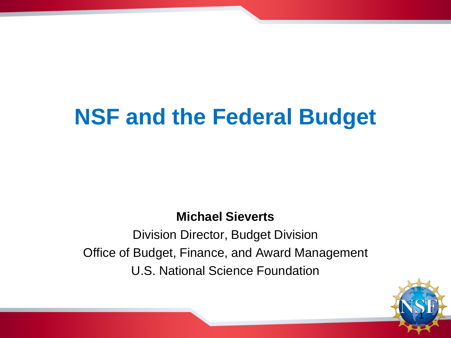### **NSF and the Federal Budget**

**Michael Sieverts**

Division Director, Budget Division Office of Budget, Finance, and Award Management U.S. National Science Foundation

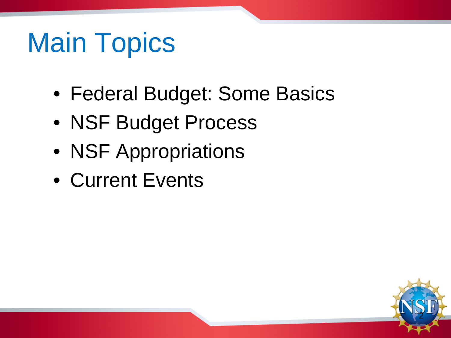## Main Topics

- Federal Budget: Some Basics
- NSF Budget Process
- NSF Appropriations
- Current Events

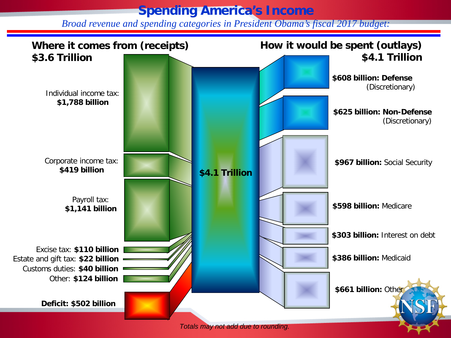### **Spending America's Income**

*Broad revenue and spending categories in President Obama's fiscal 2017 budget:*

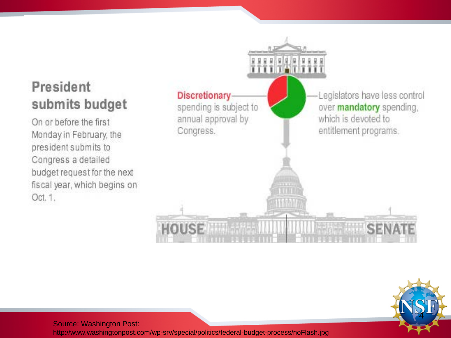### President submits budget

On or before the first Monday in February, the president submits to Congress a detailed budget request for the next fiscal year, which begins on Oct. 1.





Source: Washington Post:

http://www.washingtonpost.com/wp -srv/special/politics/federal -budget -process/noFlash.jpg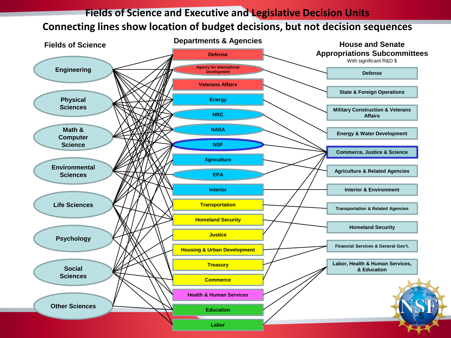#### **Fields of Science and Executive and Legislative Decision Units Connecting lines show location of budget decisions, but not decision sequences**

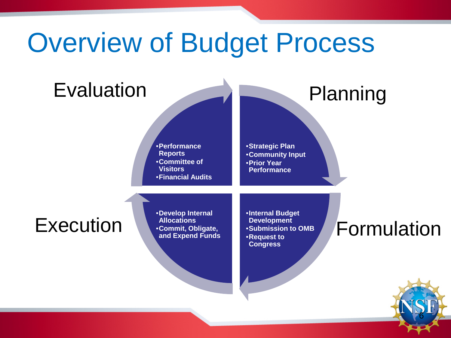### Overview of Budget Process

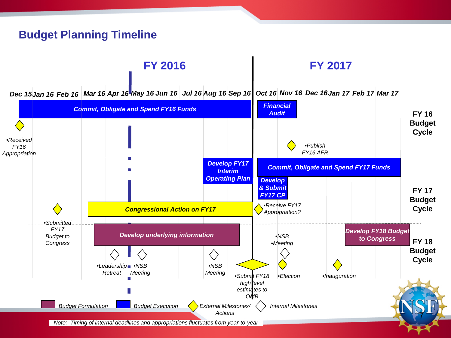### **Budget Planning Timeline**

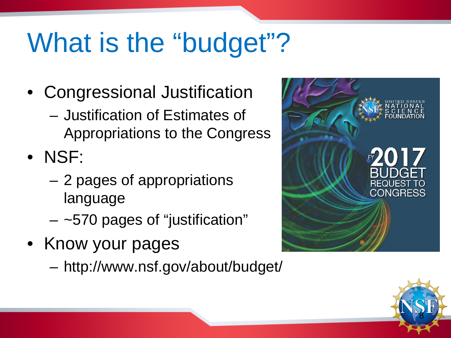## What is the "budget"?

- Congressional Justification
	- Justification of Estimates of Appropriations to the Congress
- NSF:
	- 2 pages of appropriations language
	- $-$  ~570 pages of "justification"
- Know your pages
	- http://www.nsf.gov/about/budget/



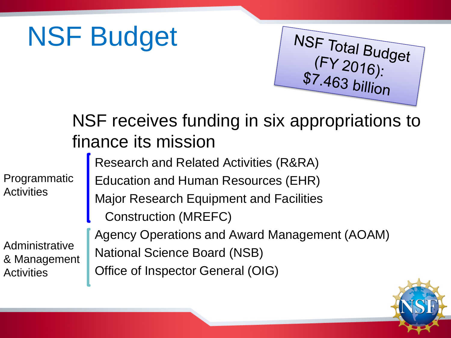## NSF Budget





NSF Total Budget<br>(FY 2016):<br>\$7.463 billion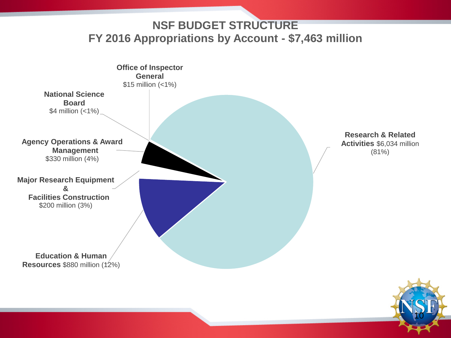**NSF BUDGET STRUCTURE FY 2016 Appropriations by Account - \$7,463 million**



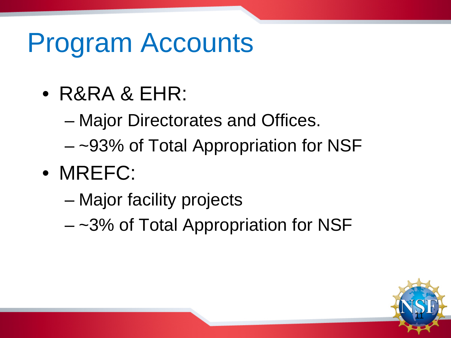### Program Accounts

- R&RA & EHR:
	- Major Directorates and Offices.
	- ~93% of Total Appropriation for NSF
- MREFC:
	- Major facility projects
	- ~3% of Total Appropriation for NSF

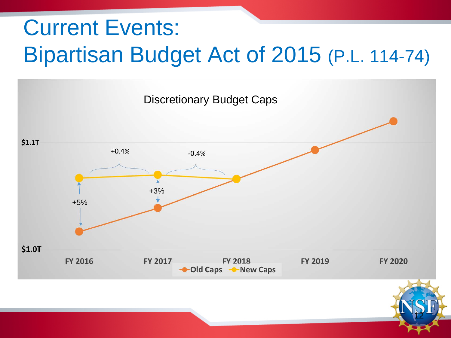### Current Events: Bipartisan Budget Act of 2015 (P.L. 114-74)

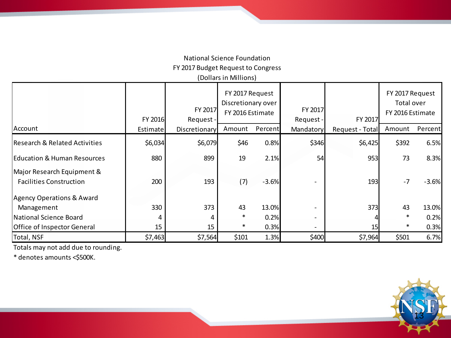#### National Science Foundation FY 2017 Budget Request to Congress (Dollars in Millions)

|                                                              | FY 2016  | FY 2017<br>Request- | FY 2017 Request<br>Discretionary over<br>FY 2016 Estimate |         | FY 2017<br>Request - | FY 2017         | FY 2017 Request<br>Total over<br>FY 2016 Estimate |         |
|--------------------------------------------------------------|----------|---------------------|-----------------------------------------------------------|---------|----------------------|-----------------|---------------------------------------------------|---------|
| Account                                                      | Estimate | Discretionary       | Amount                                                    | Percent | Mandatory            | Request - Total | Amount                                            | Percent |
| <b>Research &amp; Related Activities</b>                     | \$6,034  | \$6,079             | \$46                                                      | 0.8%    | \$346                | \$6,425         | \$392                                             | 6.5%    |
| <b>Education &amp; Human Resources</b>                       | 880      | 899                 | 19                                                        | 2.1%    | 54                   | 953             | 73                                                | 8.3%    |
| Major Research Equipment &<br><b>Facilities Construction</b> | 200      | 193                 | (7)                                                       | $-3.6%$ |                      | 193             | $-7$                                              | $-3.6%$ |
| Agency Operations & Award                                    |          |                     |                                                           |         |                      |                 |                                                   |         |
| Management                                                   | 330      | 373                 | 43                                                        | 13.0%   |                      | 373             | 43                                                | 13.0%   |
| National Science Board                                       |          |                     | $\ast$                                                    | 0.2%    |                      |                 | $\ast$                                            | 0.2%    |
| Office of Inspector General                                  | 15       | 15                  | $\ast$                                                    | 0.3%    |                      |                 | ∗                                                 | 0.3%    |
| Total, NSF                                                   | \$7,463  | \$7,564             | \$101                                                     | 1.3%    | \$400                | \$7,964         | \$501                                             | 6.7%    |

Totals may not add due to rounding.

\* denotes amounts <\$500K.

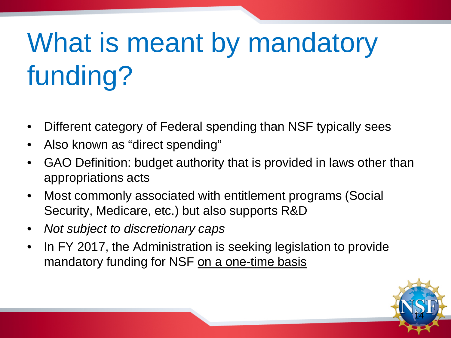# What is meant by mandatory funding?

- Different category of Federal spending than NSF typically sees
- Also known as "direct spending"
- GAO Definition: budget authority that is provided in laws other than appropriations acts
- Most commonly associated with entitlement programs (Social Security, Medicare, etc.) but also supports R&D
- *Not subject to discretionary caps*
- In FY 2017, the Administration is seeking legislation to provide mandatory funding for NSF on a one-time basis

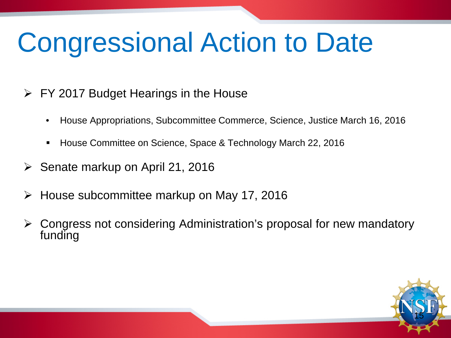## Congressional Action to Date

- $\triangleright$  FY 2017 Budget Hearings in the House
	- House Appropriations, Subcommittee Commerce, Science, Justice March 16, 2016
	- House Committee on Science, Space & Technology March 22, 2016
- Senate markup on April 21, 2016
- House subcommittee markup on May 17, 2016
- Congress not considering Administration's proposal for new mandatory funding

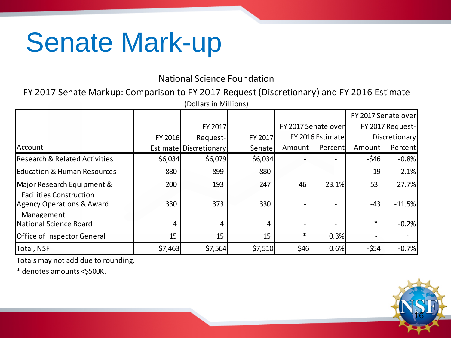### Senate Mark-up

#### National Science Foundation

FY 2017 Senate Markup: Comparison to FY 2017 Request (Discretionary) and FY 2016 Estimate

| (Dollars in Millions)                                        |         |                               |         |                     |         |                     |          |  |
|--------------------------------------------------------------|---------|-------------------------------|---------|---------------------|---------|---------------------|----------|--|
|                                                              |         |                               |         |                     |         | FY 2017 Senate over |          |  |
|                                                              |         | FY 2017                       |         | FY 2017 Senate over |         | FY 2017 Request-    |          |  |
|                                                              | FY 2016 | Request-                      | FY 2017 | FY 2016 Estimate    |         | Discretionary       |          |  |
| Account                                                      |         | <b>Estimate Discretionary</b> | Senate  | Amount              | Percent | Amount              | Percent  |  |
| Research & Related Activities                                | \$6,034 | \$6,079                       | \$6,034 |                     |         | $-$ \$46            | $-0.8%$  |  |
| <b>Education &amp; Human Resources</b>                       | 880     | 899                           | 880     |                     |         | $-19$               | $-2.1%$  |  |
| Major Research Equipment &<br><b>Facilities Construction</b> | 200     | 193                           | 247     | 46                  | 23.1%   | 53                  | 27.7%    |  |
| Agency Operations & Award<br>Management                      | 330     | 373                           | 330     |                     |         | $-43$               | $-11.5%$ |  |
| National Science Board                                       | 4       | 4                             | 4       |                     |         | $\ast$              | $-0.2%$  |  |
| Office of Inspector General                                  | 15      | 15                            | 15      | $\ast$              | 0.3%    |                     |          |  |
| Total, NSF                                                   | \$7,463 | \$7,564                       | \$7,510 | \$46                | 0.6%    | $-554$              | $-0.7%$  |  |

Totals may not add due to rounding.

\* denotes amounts <\$500K.

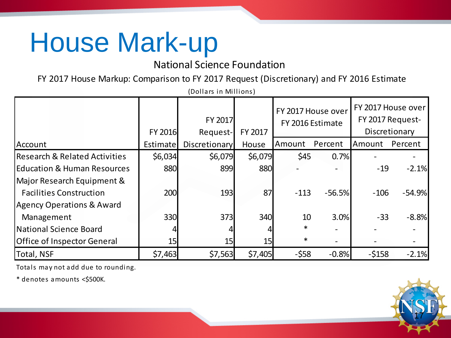### House Mark-up

National Science Foundation

FY 2017 House Markup: Comparison to FY 2017 Request (Discretionary) and FY 2016 Estimate (Dollars in Millions)

| $\mathcal{U}$                            |                 |                      |         |                                        |          |                                                         |          |  |
|------------------------------------------|-----------------|----------------------|---------|----------------------------------------|----------|---------------------------------------------------------|----------|--|
|                                          | <b>FY 2016</b>  | FY 2017<br>Request-  | FY 2017 | FY 2017 House over<br>FY 2016 Estimate |          | FY 2017 House over<br>FY 2017 Request-<br>Discretionary |          |  |
| Account                                  | Estimate        | <b>Discretionary</b> | House   | Amount                                 | Percent  | Amount                                                  | Percent  |  |
| <b>Research &amp; Related Activities</b> | \$6,034         | \$6,079              | \$6,079 | \$45                                   | 0.7%     |                                                         |          |  |
| <b>IEducation &amp; Human Resources</b>  | 880             | 899                  | 880     |                                        |          | $-19$                                                   | $-2.1%$  |  |
| Major Research Equipment &               |                 |                      |         |                                        |          |                                                         |          |  |
| <b>Facilities Construction</b>           | 200             | 193                  | 87      | $-113$                                 | $-56.5%$ | $-106$                                                  | $-54.9%$ |  |
| <b>Agency Operations &amp; Award</b>     |                 |                      |         |                                        |          |                                                         |          |  |
| Management                               | 330             | 373                  | 340     | 10                                     | 3.0%     | $-33$                                                   | $-8.8%$  |  |
| National Science Board                   |                 |                      |         | $\ast$                                 |          |                                                         |          |  |
| <b>Office of Inspector General</b>       | 15 <sub>l</sub> | 15                   | 15      | $\ast$                                 |          |                                                         |          |  |
| Total, NSF                               | \$7,463         | \$7,563              | \$7,405 | $-558$                                 | $-0.8%$  | $-5158$                                                 | $-2.1%$  |  |

Totals may not add due to rounding.

\* denotes amounts <\$500K.

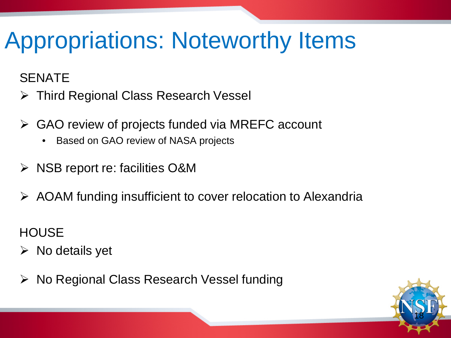### Appropriations: Noteworthy Items

### SENATE

- Third Regional Class Research Vessel
- GAO review of projects funded via MREFC account
	- Based on GAO review of NASA projects
- NSB report re: facilities O&M
- AOAM funding insufficient to cover relocation to Alexandria

**HOUSE** 

- $\triangleright$  No details yet
- **▶ No Regional Class Research Vessel funding**

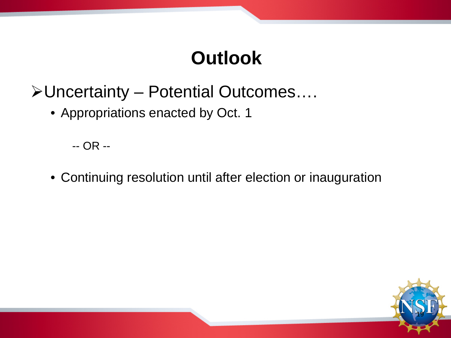### **Outlook**

- Uncertainty Potential Outcomes….
	- Appropriations enacted by Oct. 1

-- OR --

• Continuing resolution until after election or inauguration

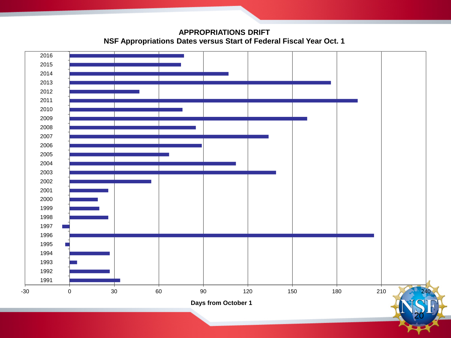**APPROPRIATIONS DRIFT NSF Appropriations Dates versus Start of Federal Fiscal Year Oct. 1**